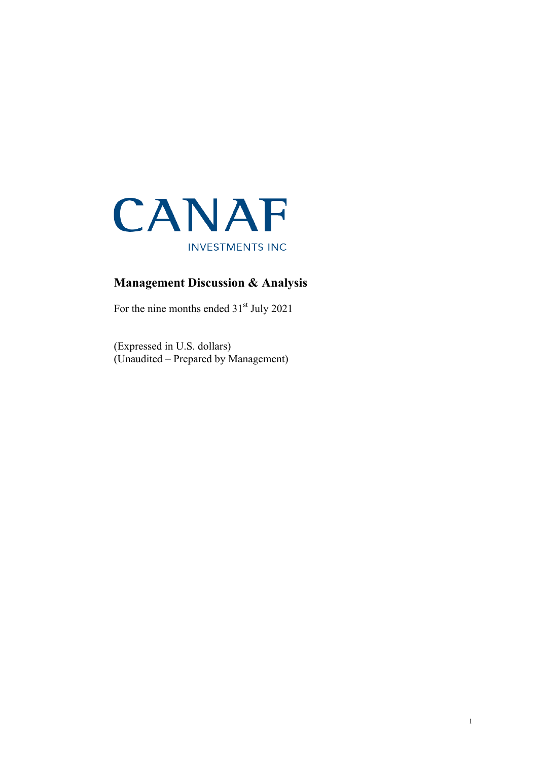

# **Management Discussion & Analysis**

For the nine months ended 31<sup>st</sup> July 2021

(Expressed in U.S. dollars) (Unaudited – Prepared by Management)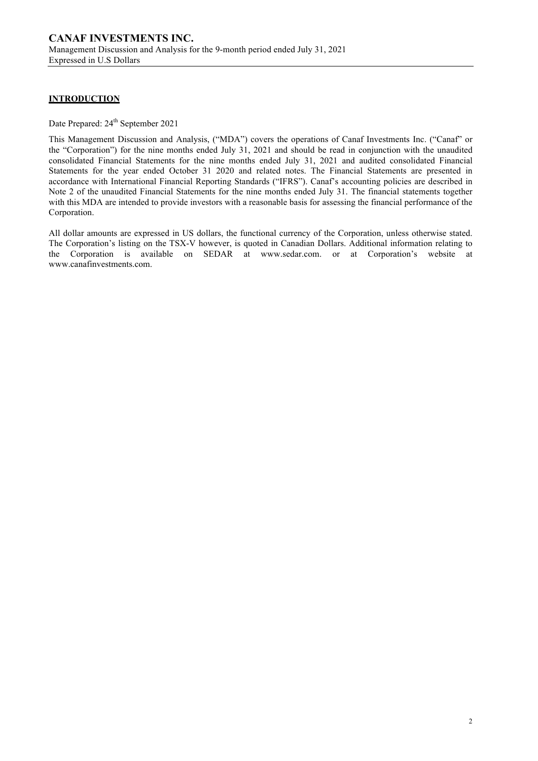# **INTRODUCTION**

Date Prepared: 24<sup>th</sup> September 2021

This Management Discussion and Analysis, ("MDA") covers the operations of Canaf Investments Inc. ("Canaf" or the "Corporation") for the nine months ended July 31, 2021 and should be read in conjunction with the unaudited consolidated Financial Statements for the nine months ended July 31, 2021 and audited consolidated Financial Statements for the year ended October 31 2020 and related notes. The Financial Statements are presented in accordance with International Financial Reporting Standards ("IFRS"). Canaf's accounting policies are described in Note 2 of the unaudited Financial Statements for the nine months ended July 31. The financial statements together with this MDA are intended to provide investors with a reasonable basis for assessing the financial performance of the Corporation.

All dollar amounts are expressed in US dollars, the functional currency of the Corporation, unless otherwise stated. The Corporation's listing on the TSX-V however, is quoted in Canadian Dollars. Additional information relating to the Corporation is available on SEDAR at www.sedar.com. or at Corporation's website at www.canafinvestments.com.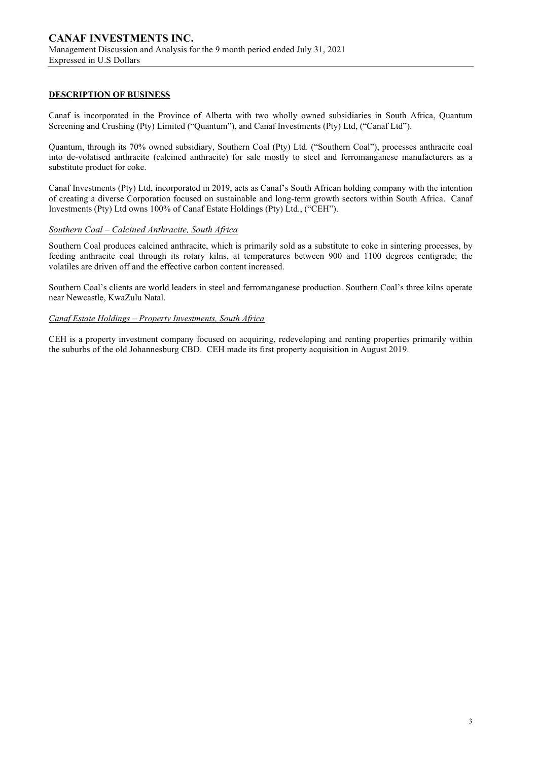### **DESCRIPTION OF BUSINESS**

Canaf is incorporated in the Province of Alberta with two wholly owned subsidiaries in South Africa, Quantum Screening and Crushing (Pty) Limited ("Quantum"), and Canaf Investments (Pty) Ltd, ("Canaf Ltd").

Quantum, through its 70% owned subsidiary, Southern Coal (Pty) Ltd. ("Southern Coal"), processes anthracite coal into de-volatised anthracite (calcined anthracite) for sale mostly to steel and ferromanganese manufacturers as a substitute product for coke.

Canaf Investments (Pty) Ltd, incorporated in 2019, acts as Canaf's South African holding company with the intention of creating a diverse Corporation focused on sustainable and long-term growth sectors within South Africa. Canaf Investments (Pty) Ltd owns 100% of Canaf Estate Holdings (Pty) Ltd., ("CEH").

### *Southern Coal – Calcined Anthracite, South Africa*

Southern Coal produces calcined anthracite, which is primarily sold as a substitute to coke in sintering processes, by feeding anthracite coal through its rotary kilns, at temperatures between 900 and 1100 degrees centigrade; the volatiles are driven off and the effective carbon content increased.

Southern Coal's clients are world leaders in steel and ferromanganese production. Southern Coal's three kilns operate near Newcastle, KwaZulu Natal.

### *Canaf Estate Holdings – Property Investments, South Africa*

CEH is a property investment company focused on acquiring, redeveloping and renting properties primarily within the suburbs of the old Johannesburg CBD. CEH made its first property acquisition in August 2019.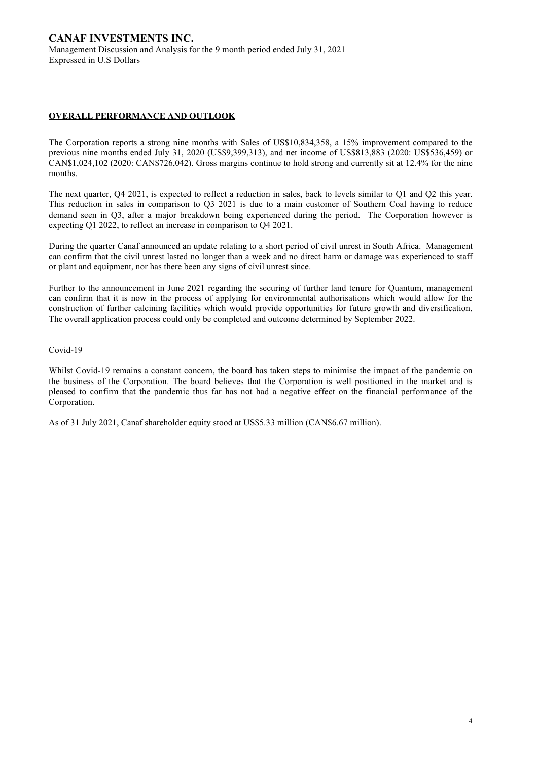# **OVERALL PERFORMANCE AND OUTLOOK**

The Corporation reports a strong nine months with Sales of US\$10,834,358, a 15% improvement compared to the previous nine months ended July 31, 2020 (US\$9,399,313), and net income of US\$813,883 (2020: US\$536,459) or CAN\$1,024,102 (2020: CAN\$726,042). Gross margins continue to hold strong and currently sit at 12.4% for the nine months.

The next quarter, Q4 2021, is expected to reflect a reduction in sales, back to levels similar to Q1 and Q2 this year. This reduction in sales in comparison to Q3 2021 is due to a main customer of Southern Coal having to reduce demand seen in Q3, after a major breakdown being experienced during the period. The Corporation however is expecting Q1 2022, to reflect an increase in comparison to Q4 2021.

During the quarter Canaf announced an update relating to a short period of civil unrest in South Africa. Management can confirm that the civil unrest lasted no longer than a week and no direct harm or damage was experienced to staff or plant and equipment, nor has there been any signs of civil unrest since.

Further to the announcement in June 2021 regarding the securing of further land tenure for Quantum, management can confirm that it is now in the process of applying for environmental authorisations which would allow for the construction of further calcining facilities which would provide opportunities for future growth and diversification. The overall application process could only be completed and outcome determined by September 2022.

### Covid-19

Whilst Covid-19 remains a constant concern, the board has taken steps to minimise the impact of the pandemic on the business of the Corporation. The board believes that the Corporation is well positioned in the market and is pleased to confirm that the pandemic thus far has not had a negative effect on the financial performance of the Corporation.

As of 31 July 2021, Canaf shareholder equity stood at US\$5.33 million (CAN\$6.67 million).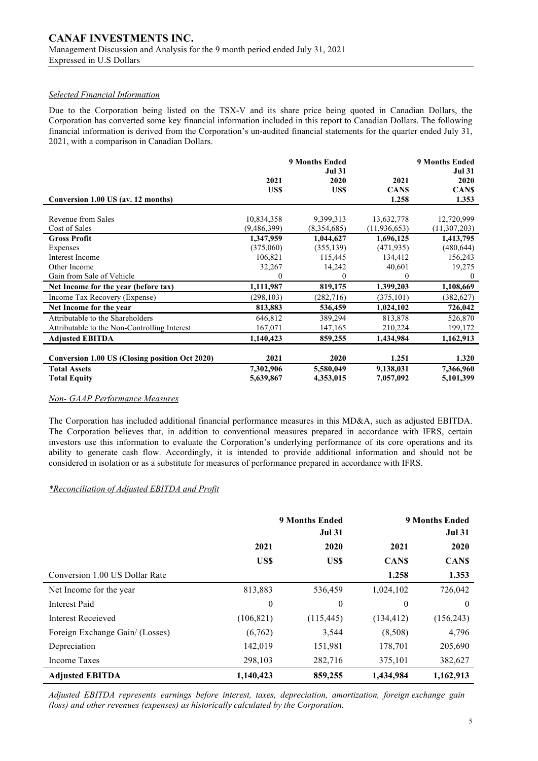### *Selected Financial Information*

Due to the Corporation being listed on the TSX-V and its share price being quoted in Canadian Dollars, the Corporation has converted some key financial information included in this report to Canadian Dollars. The following financial information is derived from the Corporation's un-audited financial statements for the quarter ended July 31, 2021, with a comparison in Canadian Dollars.

|                                                |               | <b>9 Months Ended</b><br><b>Jul 31</b> |                | <b>9 Months Ended</b><br><b>Jul 31</b> |
|------------------------------------------------|---------------|----------------------------------------|----------------|----------------------------------------|
|                                                | 2021          | 2020                                   | 2021           | 2020                                   |
|                                                | US\$          | US\$                                   | <b>CANS</b>    | <b>CANS</b>                            |
| Conversion 1.00 US (av. 12 months)             |               |                                        | 1.258          | 1.353                                  |
|                                                |               |                                        |                |                                        |
| Revenue from Sales                             | 10,834,358    | 9,399,313                              | 13,632,778     | 12,720,999                             |
| Cost of Sales                                  | (9, 486, 399) | (8,354,685)                            | (11, 936, 653) | (11,307,203)                           |
| <b>Gross Profit</b>                            | 1,347,959     | 1,044,627                              | 1,696,125      | 1,413,795                              |
| Expenses                                       | (375,060)     | (355, 139)                             | (471, 935)     | (480, 644)                             |
| Interest Income                                | 106,821       | 115,445                                | 134,412        | 156,243                                |
| Other Income                                   | 32,267        | 14,242                                 | 40,601         | 19,275                                 |
| Gain from Sale of Vehicle                      | $\theta$      | $\theta$                               | $\Omega$       | $\theta$                               |
| Net Income for the year (before tax)           | 1,111,987     | 819,175                                | 1,399,203      | 1,108,669                              |
| Income Tax Recovery (Expense)                  | (298, 103)    | (282, 716)                             | (375, 101)     | (382, 627)                             |
| Net Income for the year                        | 813,883       | 536,459                                | 1,024,102      | 726,042                                |
| Attributable to the Shareholders               | 646,812       | 389,294                                | 813,878        | 526,870                                |
| Attributable to the Non-Controlling Interest   | 167,071       | 147,165                                | 210,224        | 199,172                                |
| <b>Adjusted EBITDA</b>                         | 1,140,423     | 859,255                                | 1,434,984      | 1,162,913                              |
|                                                |               |                                        |                |                                        |
| Conversion 1.00 US (Closing position Oct 2020) | 2021          | 2020                                   | 1.251          | 1.320                                  |
| <b>Total Assets</b>                            | 7,302,906     | 5,580,049                              | 9,138,031      | 7,366,960                              |
| <b>Total Equity</b>                            | 5,639,867     | 4,353,015                              | 7,057,092      | 5,101,399                              |

#### *Non- GAAP Performance Measures*

The Corporation has included additional financial performance measures in this MD&A, such as adjusted EBITDA. The Corporation believes that, in addition to conventional measures prepared in accordance with IFRS, certain investors use this information to evaluate the Corporation's underlying performance of its core operations and its ability to generate cash flow. Accordingly, it is intended to provide additional information and should not be considered in isolation or as a substitute for measures of performance prepared in accordance with IFRS.

### *\*Reconciliation of Adjusted EBITDA and Profit*

|                                 | <b>9 Months Ended</b><br><b>Jul 31</b> |            |                  | 9 Months Ended<br><b>Jul 31</b> |  |
|---------------------------------|----------------------------------------|------------|------------------|---------------------------------|--|
|                                 | 2021                                   | 2020       | 2021             | 2020                            |  |
|                                 | US\$                                   | US\$       | <b>CANS</b>      | <b>CANS</b>                     |  |
| Conversion 1.00 US Dollar Rate  |                                        |            | 1.258            | 1.353                           |  |
| Net Income for the year         | 813,883                                | 536,459    | 1,024,102        | 726,042                         |  |
| Interest Paid                   | $\theta$                               | $\theta$   | $\boldsymbol{0}$ | $\boldsymbol{0}$                |  |
| <b>Interest Receieved</b>       | (106, 821)                             | (115, 445) | (134, 412)       | (156, 243)                      |  |
| Foreign Exchange Gain/ (Losses) | (6,762)                                | 3,544      | (8,508)          | 4,796                           |  |
| Depreciation                    | 142,019                                | 151,981    | 178,701          | 205,690                         |  |
| Income Taxes                    | 298,103                                | 282,716    | 375,101          | 382,627                         |  |
| <b>Adjusted EBITDA</b>          | 1,140,423                              | 859,255    | 1,434,984        | 1,162,913                       |  |

*Adjusted EBITDA represents earnings before interest, taxes, depreciation, amortization, foreign exchange gain (loss) and other revenues (expenses) as historically calculated by the Corporation.*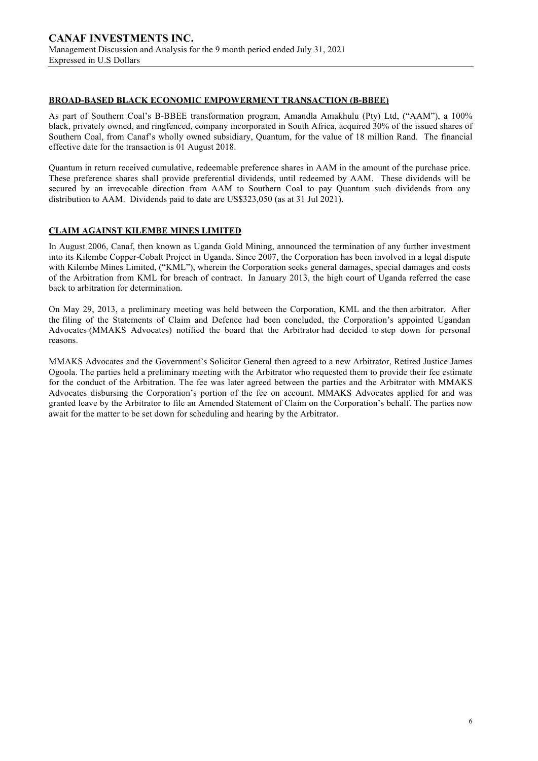### **BROAD-BASED BLACK ECONOMIC EMPOWERMENT TRANSACTION (B-BBEE)**

As part of Southern Coal's B-BBEE transformation program, Amandla Amakhulu (Pty) Ltd, ("AAM"), a 100% black, privately owned, and ringfenced, company incorporated in South Africa, acquired 30% of the issued shares of Southern Coal, from Canaf's wholly owned subsidiary, Quantum, for the value of 18 million Rand. The financial effective date for the transaction is 01 August 2018.

Quantum in return received cumulative, redeemable preference shares in AAM in the amount of the purchase price. These preference shares shall provide preferential dividends, until redeemed by AAM. These dividends will be secured by an irrevocable direction from AAM to Southern Coal to pay Quantum such dividends from any distribution to AAM. Dividends paid to date are US\$323,050 (as at 31 Jul 2021).

### **CLAIM AGAINST KILEMBE MINES LIMITED**

In August 2006, Canaf, then known as Uganda Gold Mining, announced the termination of any further investment into its Kilembe Copper-Cobalt Project in Uganda. Since 2007, the Corporation has been involved in a legal dispute with Kilembe Mines Limited, ("KML"), wherein the Corporation seeks general damages, special damages and costs of the Arbitration from KML for breach of contract. In January 2013, the high court of Uganda referred the case back to arbitration for determination.

On May 29, 2013, a preliminary meeting was held between the Corporation, KML and the then arbitrator. After the filing of the Statements of Claim and Defence had been concluded, the Corporation's appointed Ugandan Advocates (MMAKS Advocates) notified the board that the Arbitrator had decided to step down for personal reasons.

MMAKS Advocates and the Government's Solicitor General then agreed to a new Arbitrator, Retired Justice James Ogoola. The parties held a preliminary meeting with the Arbitrator who requested them to provide their fee estimate for the conduct of the Arbitration. The fee was later agreed between the parties and the Arbitrator with MMAKS Advocates disbursing the Corporation's portion of the fee on account. MMAKS Advocates applied for and was granted leave by the Arbitrator to file an Amended Statement of Claim on the Corporation's behalf. The parties now await for the matter to be set down for scheduling and hearing by the Arbitrator.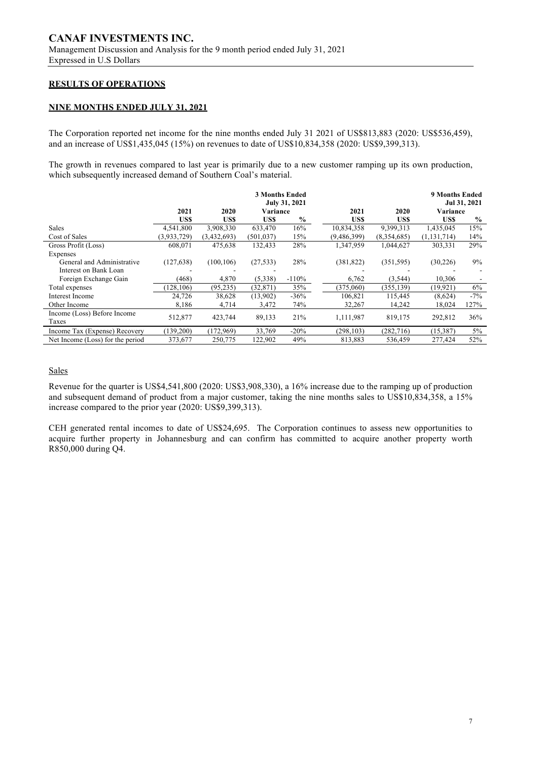## **RESULTS OF OPERATIONS**

### **NINE MONTHS ENDED JULY 31, 2021**

The Corporation reported net income for the nine months ended July 31 2021 of US\$813,883 (2020: US\$536,459), and an increase of US\$1,435,045 (15%) on revenues to date of US\$10,834,358 (2020: US\$9,399,313).

The growth in revenues compared to last year is primarily due to a new customer ramping up its own production, which subsequently increased demand of Southern Coal's material.

|                                  |             |             | <b>3 Months Ended</b> | July 31, 2021 |             |             | <b>9 Months Ended</b> | Jul 31, 2021  |
|----------------------------------|-------------|-------------|-----------------------|---------------|-------------|-------------|-----------------------|---------------|
|                                  | 2021        | 2020        | Variance              |               | 2021        | 2020        | Variance              |               |
|                                  | US\$        | US\$        | US\$                  | $\frac{6}{9}$ | US\$        | US\$        | US\$                  | $\frac{6}{9}$ |
| <b>Sales</b>                     | 4,541,800   | 3,908,330   | 633,470               | 16%           | 10,834,358  | 9,399,313   | 1,435,045             | 15%           |
| Cost of Sales                    | (3,933,729) | (3,432,693) | (501, 037)            | 15%           | (9,486,399) | (8,354,685) | (1, 131, 714)         | 14%           |
| Gross Profit (Loss)              | 608.071     | 475,638     | 132,433               | 28%           | 1,347,959   | 1,044,627   | 303,331               | 29%           |
| Expenses                         |             |             |                       |               |             |             |                       |               |
| General and Administrative       | (127, 638)  | (100, 106)  | (27, 533)             | 28%           | (381, 822)  | (351, 595)  | (30,226)              | 9%            |
| Interest on Bank Loan            |             |             |                       |               |             |             |                       |               |
| Foreign Exchange Gain            | (468)       | 4,870       | (5,338)               | $-110%$       | 6,762       | (3,544)     | 10,306                |               |
| Total expenses                   | (128, 106)  | (95, 235)   | (32, 871)             | 35%           | (375,060)   | (355, 139)  | (19.921)              | 6%            |
| Interest Income                  | 24,726      | 38,628      | (13,902)              | $-36%$        | 106.821     | 115,445     | (8,624)               | $-7\%$        |
| Other Income                     | 8,186       | 4,714       | 3,472                 | 74%           | 32,267      | 14,242      | 18,024                | 127%          |
| Income (Loss) Before Income      | 512,877     | 423,744     | 89,133                | 21%           | 1,111,987   | 819,175     | 292,812               | 36%           |
| Taxes                            |             |             |                       |               |             |             |                       |               |
| Income Tax (Expense) Recovery    | (139, 200)  | (172,969)   | 33,769                | $-20%$        | (298, 103)  | (282,716)   | (15,387)              | 5%            |
| Net Income (Loss) for the period | 373,677     | 250,775     | 122,902               | 49%           | 813.883     | 536.459     | 277.424               | 52%           |

### Sales

Revenue for the quarter is US\$4,541,800 (2020: US\$3,908,330), a 16% increase due to the ramping up of production and subsequent demand of product from a major customer, taking the nine months sales to US\$10,834,358, a 15% increase compared to the prior year (2020: US\$9,399,313).

CEH generated rental incomes to date of US\$24,695. The Corporation continues to assess new opportunities to acquire further property in Johannesburg and can confirm has committed to acquire another property worth R850,000 during Q4.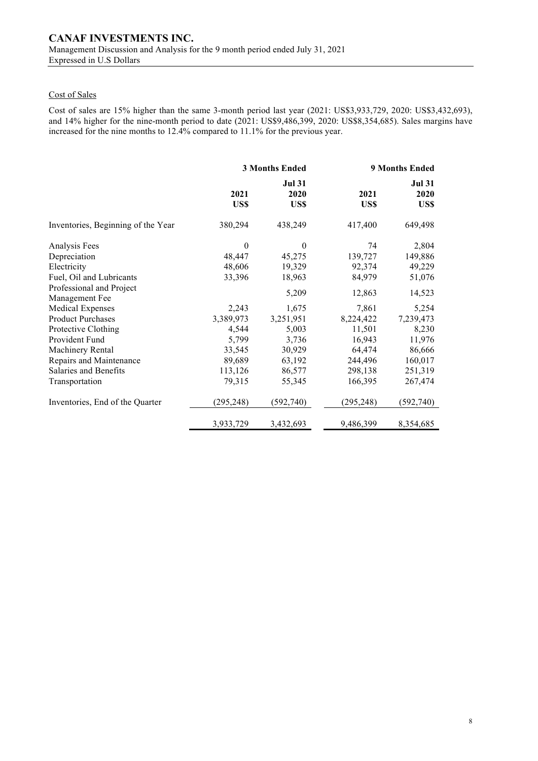# Cost of Sales

Cost of sales are 15% higher than the same 3-month period last year (2021: US\$3,933,729, 2020: US\$3,432,693), and 14% higher for the nine-month period to date (2021: US\$9,486,399, 2020: US\$8,354,685). Sales margins have increased for the nine months to 12.4% compared to 11.1% for the previous year.

|                                    |              | <b>3 Months Ended</b>         |              | <b>9 Months Ended</b>         |
|------------------------------------|--------------|-------------------------------|--------------|-------------------------------|
|                                    | 2021<br>US\$ | <b>Jul 31</b><br>2020<br>US\$ | 2021<br>US\$ | <b>Jul 31</b><br>2020<br>US\$ |
| Inventories, Beginning of the Year | 380,294      | 438,249                       | 417,400      | 649,498                       |
| Analysis Fees                      | $\theta$     | $\boldsymbol{0}$              | 74           | 2,804                         |
| Depreciation                       | 48,447       | 45,275                        | 139,727      | 149,886                       |
| Electricity                        | 48,606       | 19,329                        | 92,374       | 49,229                        |
| Fuel, Oil and Lubricants           | 33,396       | 18,963                        | 84,979       | 51,076                        |
| Professional and Project           |              | 5,209                         | 12,863       | 14,523                        |
| Management Fee                     |              |                               |              |                               |
| <b>Medical Expenses</b>            | 2,243        | 1,675                         | 7,861        | 5,254                         |
| <b>Product Purchases</b>           | 3,389,973    | 3,251,951                     | 8,224,422    | 7,239,473                     |
| Protective Clothing                | 4,544        | 5,003                         | 11,501       | 8,230                         |
| Provident Fund                     | 5,799        | 3,736                         | 16,943       | 11,976                        |
| Machinery Rental                   | 33,545       | 30,929                        | 64,474       | 86,666                        |
| Repairs and Maintenance            | 89,689       | 63,192                        | 244,496      | 160,017                       |
| Salaries and Benefits              | 113,126      | 86,577                        | 298,138      | 251,319                       |
| Transportation                     | 79,315       | 55,345                        | 166,395      | 267,474                       |
| Inventories, End of the Quarter    | (295, 248)   | (592, 740)                    | (295, 248)   | (592, 740)                    |
|                                    | 3,933,729    | 3,432,693                     | 9,486,399    | 8,354,685                     |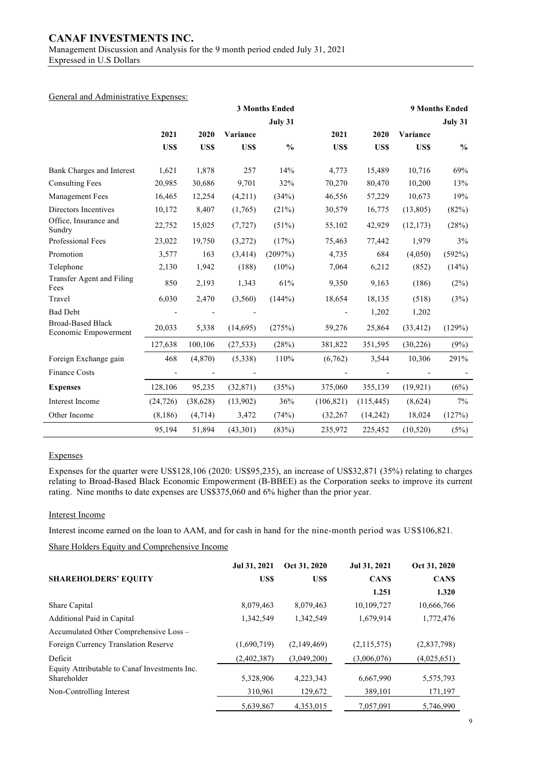# **CANAF INVESTMENTS INC.**

Management Discussion and Analysis for the 9 month period ended July 31, 2021 Expressed in U.S Dollars

### General and Administrative Expenses:

|                                                  | <b>3 Months Ended</b> |           |           |               |            |            | 9 Months Ended |               |
|--------------------------------------------------|-----------------------|-----------|-----------|---------------|------------|------------|----------------|---------------|
|                                                  |                       |           |           | July 31       |            |            |                | July 31       |
|                                                  | 2021                  | 2020      | Variance  |               | 2021       | 2020       | Variance       |               |
|                                                  | US\$                  | US\$      | US\$      | $\frac{0}{0}$ | US\$       | US\$       | US\$           | $\frac{0}{0}$ |
| Bank Charges and Interest                        | 1,621                 | 1,878     | 257       | 14%           | 4,773      | 15,489     | 10,716         | 69%           |
| <b>Consulting Fees</b>                           | 20,985                | 30,686    | 9,701     | 32%           | 70,270     | 80,470     | 10,200         | 13%           |
| <b>Management Fees</b>                           | 16,465                | 12,254    | (4,211)   | (34%)         | 46,556     | 57,229     | 10,673         | 19%           |
| Directors Incentives                             | 10,172                | 8,407     | (1,765)   | (21%)         | 30,579     | 16,775     | (13, 805)      | (82%)         |
| Office, Insurance and<br>Sundry                  | 22,752                | 15,025    | (7, 727)  | (51%)         | 55,102     | 42,929     | (12, 173)      | (28%)         |
| Professional Fees                                | 23,022                | 19,750    | (3,272)   | (17%)         | 75,463     | 77,442     | 1,979          | 3%            |
| Promotion                                        | 3,577                 | 163       | (3, 414)  | (2097%)       | 4,735      | 684        | (4,050)        | (592%)        |
| Telephone                                        | 2,130                 | 1,942     | (188)     | (10%)         | 7,064      | 6,212      | (852)          | (14%)         |
| Transfer Agent and Filing<br>Fees                | 850                   | 2,193     | 1,343     | 61%           | 9,350      | 9,163      | (186)          | (2%)          |
| Travel                                           | 6,030                 | 2,470     | (3,560)   | (144%)        | 18,654     | 18,135     | (518)          | (3%)          |
| <b>Bad Debt</b>                                  |                       |           |           |               |            | 1,202      | 1,202          |               |
| <b>Broad-Based Black</b><br>Economic Empowerment | 20,033                | 5,338     | (14,695)  | (275%)        | 59,276     | 25,864     | (33, 412)      | (129%)        |
|                                                  | 127,638               | 100,106   | (27, 533) | (28%)         | 381,822    | 351,595    | (30, 226)      | (9%)          |
| Foreign Exchange gain                            | 468                   | (4,870)   | (5,338)   | 110%          | (6,762)    | 3,544      | 10,306         | 291%          |
| <b>Finance Costs</b>                             |                       |           |           |               |            |            |                |               |
| <b>Expenses</b>                                  | 128,106               | 95,235    | (32,871)  | (35%)         | 375,060    | 355,139    | (19, 921)      | (6%)          |
| Interest Income                                  | (24, 726)             | (38, 628) | (13,902)  | 36%           | (106, 821) | (115, 445) | (8,624)        | 7%            |
| Other Income                                     | (8,186)               | (4,714)   | 3,472     | (74%)         | (32, 267)  | (14,242)   | 18,024         | (127%)        |
|                                                  | 95,194                | 51,894    | (43, 301) | (83%)         | 235,972    | 225,452    | (10, 520)      | (5%)          |

### Expenses

Expenses for the quarter were US\$128,106 (2020: US\$95,235), an increase of US\$32,871 (35%) relating to charges relating to Broad-Based Black Economic Empowerment (B-BBEE) as the Corporation seeks to improve its current rating. Nine months to date expenses are US\$375,060 and 6% higher than the prior year.

### Interest Income

Interest income earned on the loan to AAM, and for cash in hand for the nine-month period was US\$106,821.

Share Holders Equity and Comprehensive Income

|                                                              | Jul 31, 2021 | Oct 31, 2020 | Jul 31, 2021 | Oct 31, 2020 |
|--------------------------------------------------------------|--------------|--------------|--------------|--------------|
| <b>SHAREHOLDERS' EQUITY</b>                                  | US\$         | US\$         | <b>CANS</b>  | <b>CANS</b>  |
|                                                              |              |              | 1.251        | 1.320        |
| Share Capital                                                | 8,079,463    | 8,079,463    | 10,109,727   | 10,666,766   |
| Additional Paid in Capital                                   | 1,342,549    | 1,342,549    | 1,679,914    | 1,772,476    |
| Accumulated Other Comprehensive Loss -                       |              |              |              |              |
| Foreign Currency Translation Reserve                         | (1,690,719)  | (2,149,469)  | (2,115,575)  | (2,837,798)  |
| Deficit                                                      | (2,402,387)  | (3,049,200)  | (3,006,076)  | (4,025,651)  |
| Equity Attributable to Canaf Investments Inc.<br>Shareholder | 5,328,906    | 4,223,343    | 6,667,990    | 5,575,793    |
| Non-Controlling Interest                                     | 310,961      | 129,672      | 389,101      | 171,197      |
|                                                              | 5,639,867    | 4,353,015    | 7,057,091    | 5,746,990    |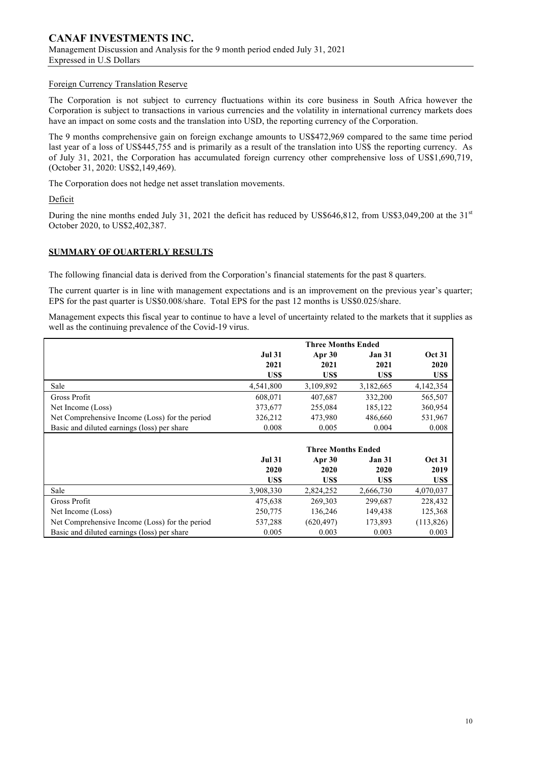### Foreign Currency Translation Reserve

The Corporation is not subject to currency fluctuations within its core business in South Africa however the Corporation is subject to transactions in various currencies and the volatility in international currency markets does have an impact on some costs and the translation into USD, the reporting currency of the Corporation.

The 9 months comprehensive gain on foreign exchange amounts to US\$472,969 compared to the same time period last year of a loss of US\$445,755 and is primarily as a result of the translation into US\$ the reporting currency. As of July 31, 2021, the Corporation has accumulated foreign currency other comprehensive loss of US\$1,690,719, (October 31, 2020: US\$2,149,469).

The Corporation does not hedge net asset translation movements.

### Deficit

During the nine months ended July 31, 2021 the deficit has reduced by US\$646,812, from US\$3,049,200 at the 31st October 2020, to US\$2,402,387.

### **SUMMARY OF QUARTERLY RESULTS**

The following financial data is derived from the Corporation's financial statements for the past 8 quarters.

The current quarter is in line with management expectations and is an improvement on the previous year's quarter; EPS for the past quarter is US\$0.008/share. Total EPS for the past 12 months is US\$0.025/share.

Management expects this fiscal year to continue to have a level of uncertainty related to the markets that it supplies as well as the continuing prevalence of the Covid-19 virus.

|                                                |               | <b>Three Months Ended</b> |               |               |
|------------------------------------------------|---------------|---------------------------|---------------|---------------|
|                                                | <b>Jul 31</b> | Apr $30$                  | <b>Jan 31</b> | <b>Oct 31</b> |
|                                                | 2021          | 2021                      | 2021          | 2020          |
|                                                | US\$          | US\$                      | US\$          | US\$          |
| Sale                                           | 4,541,800     | 3,109,892                 | 3,182,665     | 4, 142, 354   |
| Gross Profit                                   | 608,071       | 407,687                   | 332,200       | 565,507       |
| Net Income (Loss)                              | 373,677       | 255,084                   | 185,122       | 360,954       |
| Net Comprehensive Income (Loss) for the period | 326,212       | 473,980                   | 486,660       | 531,967       |
| Basic and diluted earnings (loss) per share    | 0.008         | 0.005                     | 0.004         | 0.008         |
|                                                |               |                           |               |               |
|                                                |               | <b>Three Months Ended</b> |               |               |
|                                                | <b>Jul 31</b> | Apr $30$                  | <b>Jan 31</b> | <b>Oct 31</b> |
|                                                | 2020          | 2020                      | 2020          | 2019          |
|                                                | US\$          | US\$                      | US\$          | US\$          |
| Sale                                           | 3,908,330     | 2,824,252                 | 2,666,730     | 4,070,037     |
| Gross Profit                                   | 475,638       | 269,303                   | 299,687       | 228,432       |
| Net Income (Loss)                              | 250,775       | 136,246                   | 149,438       | 125,368       |
| Net Comprehensive Income (Loss) for the period | 537,288       | (620, 497)                | 173,893       | (113, 826)    |
| Basic and diluted earnings (loss) per share    | 0.005         | 0.003                     | 0.003         | 0.003         |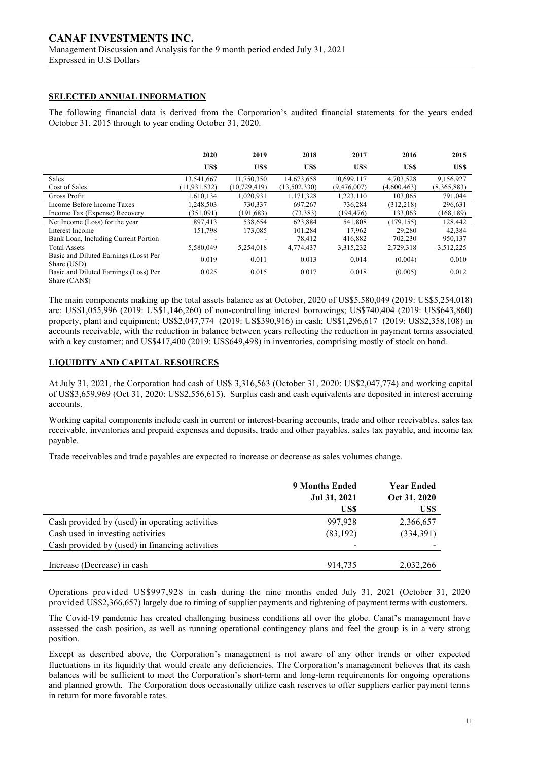### **SELECTED ANNUAL INFORMATION**

The following financial data is derived from the Corporation's audited financial statements for the years ended October 31, 2015 through to year ending October 31, 2020.

|                                                       | 2020                     | 2019           | 2018         | 2017        | 2016        | 2015        |
|-------------------------------------------------------|--------------------------|----------------|--------------|-------------|-------------|-------------|
|                                                       | <b>USS</b>               | US\$           | US\$         | US\$        | US\$        | US\$        |
| <b>Sales</b>                                          | 13,541,667               | 11,750,350     | 14,673,658   | 10,699,117  | 4,703,528   | 9,156,927   |
| Cost of Sales                                         | (11.931.532)             | (10, 729, 419) | (13,502,330) | (9,476,007) | (4,600,463) | (8,365,883) |
| Gross Profit                                          | 1.610.134                | 1.020.931      | 1,171,328    | 1.223.110   | 103,065     | 791,044     |
| Income Before Income Taxes                            | 1,248,503                | 730.337        | 697,267      | 736,284     | (312, 218)  | 296.631     |
| Income Tax (Expense) Recovery                         | (351.091)                | (191, 683)     | (73, 383)    | (194, 476)  | 133,063     | (168, 189)  |
| Net Income (Loss) for the year                        | 897,413                  | 538,654        | 623,884      | 541,808     | (179, 155)  | 128,442     |
| Interest Income                                       | 151,798                  | 173,085        | 101,284      | 17,962      | 29,280      | 42,384      |
| Bank Loan, Including Current Portion                  | $\overline{\phantom{a}}$ |                | 78.412       | 416.882     | 702.230     | 950.137     |
| <b>Total Assets</b>                                   | 5,580,049                | 5,254,018      | 4,774,437    | 3,315,232   | 2,729,318   | 3,512,225   |
| Basic and Diluted Earnings (Loss) Per<br>Share (USD)  | 0.019                    | 0.011          | 0.013        | 0.014       | (0.004)     | 0.010       |
| Basic and Diluted Earnings (Loss) Per<br>Share (CANS) | 0.025                    | 0.015          | 0.017        | 0.018       | (0.005)     | 0.012       |

The main components making up the total assets balance as at October, 2020 of US\$5,580,049 (2019: US\$5,254,018) are: US\$1,055,996 (2019: US\$1,146,260) of non-controlling interest borrowings; US\$740,404 (2019: US\$643,860) property, plant and equipment; US\$2,047,774 (2019: US\$390,916) in cash; US\$1,296,617 (2019: US\$2,358,108) in accounts receivable, with the reduction in balance between years reflecting the reduction in payment terms associated with a key customer; and US\$417,400 (2019: US\$649,498) in inventories, comprising mostly of stock on hand.

### **LIQUIDITY AND CAPITAL RESOURCES**

At July 31, 2021, the Corporation had cash of US\$ 3,316,563 (October 31, 2020: US\$2,047,774) and working capital of US\$3,659,969 (Oct 31, 2020: US\$2,556,615). Surplus cash and cash equivalents are deposited in interest accruing accounts.

Working capital components include cash in current or interest-bearing accounts, trade and other receivables, sales tax receivable, inventories and prepaid expenses and deposits, trade and other payables, sales tax payable, and income tax payable.

Trade receivables and trade payables are expected to increase or decrease as sales volumes change.

|                                                 | <b>9 Months Ended</b><br>Jul 31, 2021<br>US\$ | <b>Year Ended</b><br>Oct 31, 2020<br>US\$ |
|-------------------------------------------------|-----------------------------------------------|-------------------------------------------|
| Cash provided by (used) in operating activities | 997,928                                       | 2,366,657                                 |
| Cash used in investing activities               | (83, 192)                                     | (334,391)                                 |
| Cash provided by (used) in financing activities |                                               |                                           |
| Increase (Decrease) in cash                     | 914,735                                       | 2,032,266                                 |

Operations provided US\$997,928 in cash during the nine months ended July 31, 2021 (October 31, 2020 provided US\$2,366,657) largely due to timing of supplier payments and tightening of payment terms with customers.

The Covid-19 pandemic has created challenging business conditions all over the globe. Canaf's management have assessed the cash position, as well as running operational contingency plans and feel the group is in a very strong position.

Except as described above, the Corporation's management is not aware of any other trends or other expected fluctuations in its liquidity that would create any deficiencies. The Corporation's management believes that its cash balances will be sufficient to meet the Corporation's short-term and long-term requirements for ongoing operations and planned growth. The Corporation does occasionally utilize cash reserves to offer suppliers earlier payment terms in return for more favorable rates.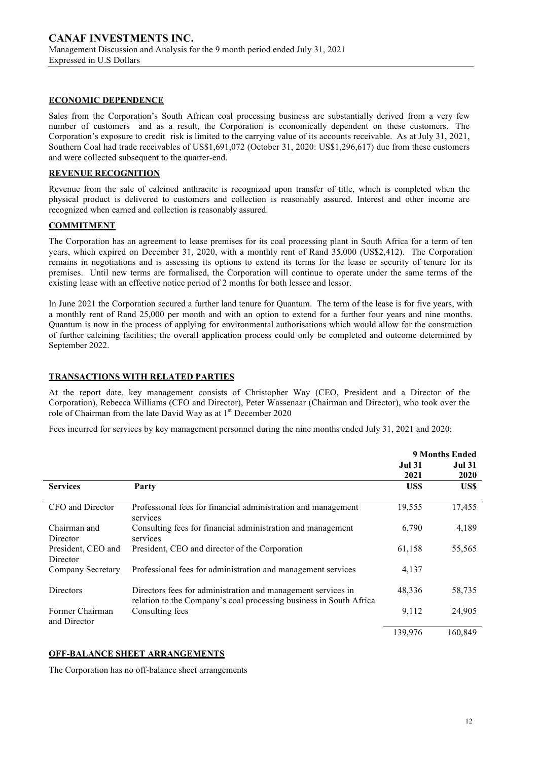### **ECONOMIC DEPENDENCE**

Sales from the Corporation's South African coal processing business are substantially derived from a very few number of customers and as a result, the Corporation is economically dependent on these customers. The Corporation's exposure to credit risk is limited to the carrying value of its accounts receivable. As at July 31, 2021, Southern Coal had trade receivables of US\$1,691,072 (October 31, 2020: US\$1,296,617) due from these customers and were collected subsequent to the quarter-end.

# **REVENUE RECOGNITION**

Revenue from the sale of calcined anthracite is recognized upon transfer of title, which is completed when the physical product is delivered to customers and collection is reasonably assured. Interest and other income are recognized when earned and collection is reasonably assured.

### **COMMITMENT**

The Corporation has an agreement to lease premises for its coal processing plant in South Africa for a term of ten years, which expired on December 31, 2020, with a monthly rent of Rand 35,000 (US\$2,412). The Corporation remains in negotiations and is assessing its options to extend its terms for the lease or security of tenure for its premises. Until new terms are formalised, the Corporation will continue to operate under the same terms of the existing lease with an effective notice period of 2 months for both lessee and lessor.

In June 2021 the Corporation secured a further land tenure for Quantum. The term of the lease is for five years, with a monthly rent of Rand 25,000 per month and with an option to extend for a further four years and nine months. Quantum is now in the process of applying for environmental authorisations which would allow for the construction of further calcining facilities; the overall application process could only be completed and outcome determined by September 2022.

### **TRANSACTIONS WITH RELATED PARTIES**

At the report date, key management consists of Christopher Way (CEO, President and a Director of the Corporation), Rebecca Williams (CFO and Director), Peter Wassenaar (Chairman and Director), who took over the role of Chairman from the late David Way as at 1<sup>st</sup> December 2020

Fees incurred for services by key management personnel during the nine months ended July 31, 2021 and 2020:

|                    |                                                                    |               | <b>9 Months Ended</b> |
|--------------------|--------------------------------------------------------------------|---------------|-----------------------|
|                    |                                                                    | <b>Jul 31</b> | <b>Jul 31</b>         |
|                    |                                                                    | 2021          | 2020                  |
| <b>Services</b>    | Party                                                              | US\$          | US\$                  |
|                    |                                                                    |               |                       |
| CFO and Director   | Professional fees for financial administration and management      | 19,555        | 17,455                |
|                    | services                                                           |               |                       |
| Chairman and       | Consulting fees for financial administration and management        | 6,790         | 4,189                 |
| Director           | services                                                           |               |                       |
| President, CEO and | President, CEO and director of the Corporation                     | 61,158        | 55,565                |
| Director           |                                                                    |               |                       |
| Company Secretary  | Professional fees for administration and management services       | 4,137         |                       |
|                    |                                                                    |               |                       |
| Directors          | Directors fees for administration and management services in       | 48,336        | 58,735                |
|                    | relation to the Company's coal processing business in South Africa |               |                       |
| Former Chairman    | Consulting fees                                                    | 9,112         | 24,905                |
| and Director       |                                                                    |               |                       |
|                    |                                                                    | 139,976       | 160.849               |

### **OFF-BALANCE SHEET ARRANGEMENTS**

The Corporation has no off-balance sheet arrangements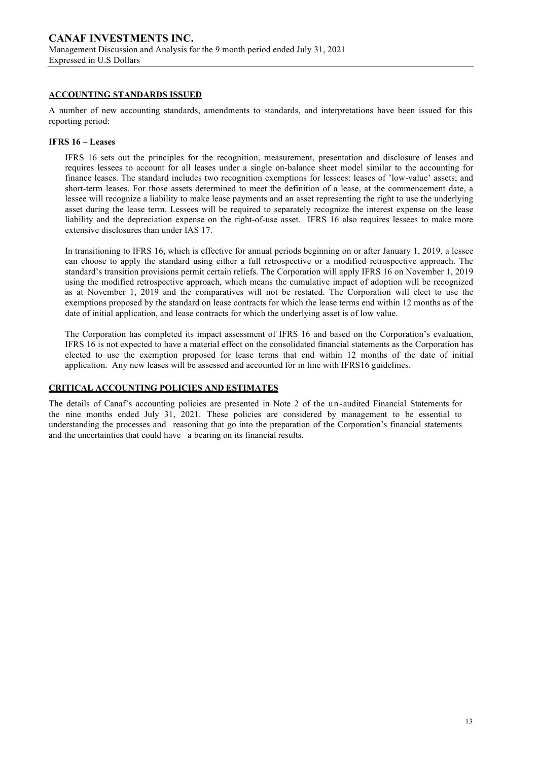### **ACCOUNTING STANDARDS ISSUED**

A number of new accounting standards, amendments to standards, and interpretations have been issued for this reporting period:

#### **IFRS 16 – Leases**

IFRS 16 sets out the principles for the recognition, measurement, presentation and disclosure of leases and requires lessees to account for all leases under a single on-balance sheet model similar to the accounting for finance leases. The standard includes two recognition exemptions for lessees: leases of 'low-value' assets; and short-term leases. For those assets determined to meet the definition of a lease, at the commencement date, a lessee will recognize a liability to make lease payments and an asset representing the right to use the underlying asset during the lease term. Lessees will be required to separately recognize the interest expense on the lease liability and the depreciation expense on the right-of-use asset. IFRS 16 also requires lessees to make more extensive disclosures than under IAS 17.

In transitioning to IFRS 16, which is effective for annual periods beginning on or after January 1, 2019, a lessee can choose to apply the standard using either a full retrospective or a modified retrospective approach. The standard's transition provisions permit certain reliefs. The Corporation will apply IFRS 16 on November 1, 2019 using the modified retrospective approach, which means the cumulative impact of adoption will be recognized as at November 1, 2019 and the comparatives will not be restated. The Corporation will elect to use the exemptions proposed by the standard on lease contracts for which the lease terms end within 12 months as of the date of initial application, and lease contracts for which the underlying asset is of low value.

The Corporation has completed its impact assessment of IFRS 16 and based on the Corporation's evaluation, IFRS 16 is not expected to have a material effect on the consolidated financial statements as the Corporation has elected to use the exemption proposed for lease terms that end within 12 months of the date of initial application. Any new leases will be assessed and accounted for in line with IFRS16 guidelines.

### **CRITICAL ACCOUNTING POLICIES AND ESTIMATES**

The details of Canaf's accounting policies are presented in Note 2 of the un-audited Financial Statements for the nine months ended July 31, 2021. These policies are considered by management to be essential to understanding the processes and reasoning that go into the preparation of the Corporation's financial statements and the uncertainties that could have a bearing on its financial results.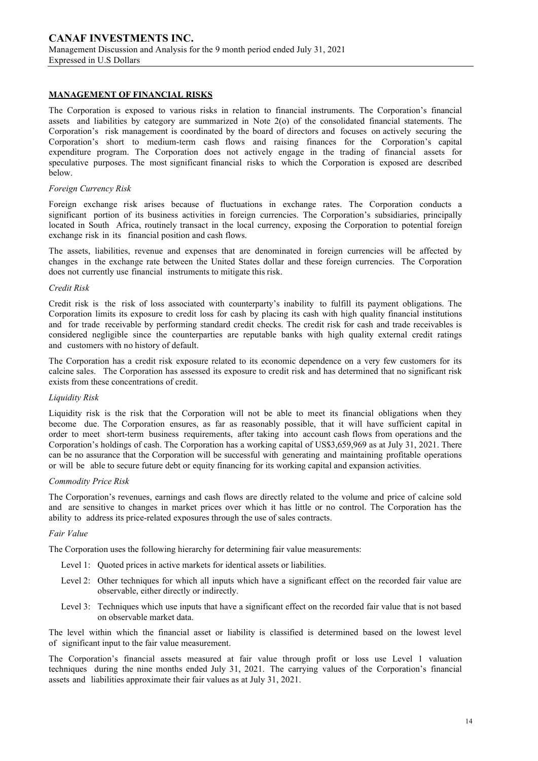### **MANAGEMENT OF FINANCIAL RISKS**

The Corporation is exposed to various risks in relation to financial instruments. The Corporation's financial assets and liabilities by category are summarized in Note 2(o) of the consolidated financial statements. The Corporation's risk management is coordinated by the board of directors and focuses on actively securing the Corporation's short to medium-term cash flows and raising finances for the Corporation's capital expenditure program. The Corporation does not actively engage in the trading of financial assets for speculative purposes. The most significant financial risks to which the Corporation is exposed are described below.

### *Foreign Currency Risk*

Foreign exchange risk arises because of fluctuations in exchange rates. The Corporation conducts a significant portion of its business activities in foreign currencies. The Corporation's subsidiaries, principally located in South Africa, routinely transact in the local currency, exposing the Corporation to potential foreign exchange risk in its financial position and cash flows.

The assets, liabilities, revenue and expenses that are denominated in foreign currencies will be affected by changes in the exchange rate between the United States dollar and these foreign currencies. The Corporation does not currently use financial instruments to mitigate this risk.

#### *Credit Risk*

Credit risk is the risk of loss associated with counterparty's inability to fulfill its payment obligations. The Corporation limits its exposure to credit loss for cash by placing its cash with high quality financial institutions and for trade receivable by performing standard credit checks. The credit risk for cash and trade receivables is considered negligible since the counterparties are reputable banks with high quality external credit ratings and customers with no history of default.

The Corporation has a credit risk exposure related to its economic dependence on a very few customers for its calcine sales. The Corporation has assessed its exposure to credit risk and has determined that no significant risk exists from these concentrations of credit.

### *Liquidity Risk*

Liquidity risk is the risk that the Corporation will not be able to meet its financial obligations when they become due. The Corporation ensures, as far as reasonably possible, that it will have sufficient capital in order to meet short-term business requirements, after taking into account cash flows from operations and the Corporation's holdings of cash. The Corporation has a working capital of US\$3,659,969 as at July 31, 2021. There can be no assurance that the Corporation will be successful with generating and maintaining profitable operations or will be able to secure future debt or equity financing for its working capital and expansion activities.

#### *Commodity Price Risk*

The Corporation's revenues, earnings and cash flows are directly related to the volume and price of calcine sold and are sensitive to changes in market prices over which it has little or no control. The Corporation has the ability to address its price-related exposures through the use of sales contracts.

### *Fair Value*

The Corporation uses the following hierarchy for determining fair value measurements:

- Level 1: Quoted prices in active markets for identical assets or liabilities.
- Level 2: Other techniques for which all inputs which have a significant effect on the recorded fair value are observable, either directly or indirectly.
- Level 3: Techniques which use inputs that have a significant effect on the recorded fair value that is not based on observable market data.

The level within which the financial asset or liability is classified is determined based on the lowest level of significant input to the fair value measurement.

The Corporation's financial assets measured at fair value through profit or loss use Level 1 valuation techniques during the nine months ended July 31, 2021. The carrying values of the Corporation's financial assets and liabilities approximate their fair values as at July 31, 2021.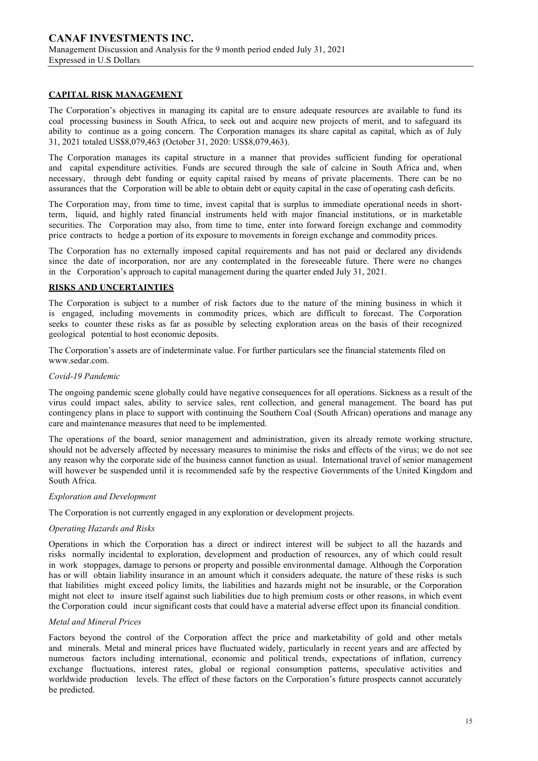### **CAPITAL RISK MANAGEMENT**

The Corporation's objectives in managing its capital are to ensure adequate resources are available to fund its coal processing business in South Africa, to seek out and acquire new projects of merit, and to safeguard its ability to continue as a going concern. The Corporation manages its share capital as capital, which as of July 31, 2021 totaled US\$8,079,463 (October 31, 2020: US\$8,079,463).

The Corporation manages its capital structure in a manner that provides sufficient funding for operational and capital expenditure activities. Funds are secured through the sale of calcine in South Africa and, when necessary, through debt funding or equity capital raised by means of private placements. There can be no assurances that the Corporation will be able to obtain debt or equity capital in the case of operating cash deficits.

The Corporation may, from time to time, invest capital that is surplus to immediate operational needs in shortterm, liquid, and highly rated financial instruments held with major financial institutions, or in marketable securities. The Corporation may also, from time to time, enter into forward foreign exchange and commodity price contracts to hedge a portion of its exposure to movements in foreign exchange and commodity prices.

The Corporation has no externally imposed capital requirements and has not paid or declared any dividends since the date of incorporation, nor are any contemplated in the foreseeable future. There were no changes in the Corporation's approach to capital management during the quarter ended July 31, 2021.

### **RISKS AND UNCERTAINTIES**

The Corporation is subject to a number of risk factors due to the nature of the mining business in which it is engaged, including movements in commodity prices, which are difficult to forecast. The Corporation seeks to counter these risks as far as possible by selecting exploration areas on the basis of their recognized geological potential to host economic deposits.

The Corporation's assets are of indeterminate value. For further particulars see the financial statements filed on www.sedar.com.

### *Covid-19 Pandemic*

The ongoing pandemic scene globally could have negative consequences for all operations. Sickness as a result of the virus could impact sales, ability to service sales, rent collection, and general management. The board has put contingency plans in place to support with continuing the Southern Coal (South African) operations and manage any care and maintenance measures that need to be implemented.

The operations of the board, senior management and administration, given its already remote working structure, should not be adversely affected by necessary measures to minimise the risks and effects of the virus; we do not see any reason why the corporate side of the business cannot function as usual. International travel of senior management will however be suspended until it is recommended safe by the respective Governments of the United Kingdom and South Africa.

### *Exploration and Development*

The Corporation is not currently engaged in any exploration or development projects.

### *Operating Hazards and Risks*

Operations in which the Corporation has a direct or indirect interest will be subject to all the hazards and risks normally incidental to exploration, development and production of resources, any of which could result in work stoppages, damage to persons or property and possible environmental damage. Although the Corporation has or will obtain liability insurance in an amount which it considers adequate, the nature of these risks is such that liabilities might exceed policy limits, the liabilities and hazards might not be insurable, or the Corporation might not elect to insure itself against such liabilities due to high premium costs or other reasons, in which event the Corporation could incur significant costs that could have a material adverse effect upon its financial condition.

### *Metal and Mineral Prices*

Factors beyond the control of the Corporation affect the price and marketability of gold and other metals and minerals. Metal and mineral prices have fluctuated widely, particularly in recent years and are affected by numerous factors including international, economic and political trends, expectations of inflation, currency exchange fluctuations, interest rates, global or regional consumption patterns, speculative activities and worldwide production levels. The effect of these factors on the Corporation's future prospects cannot accurately be predicted.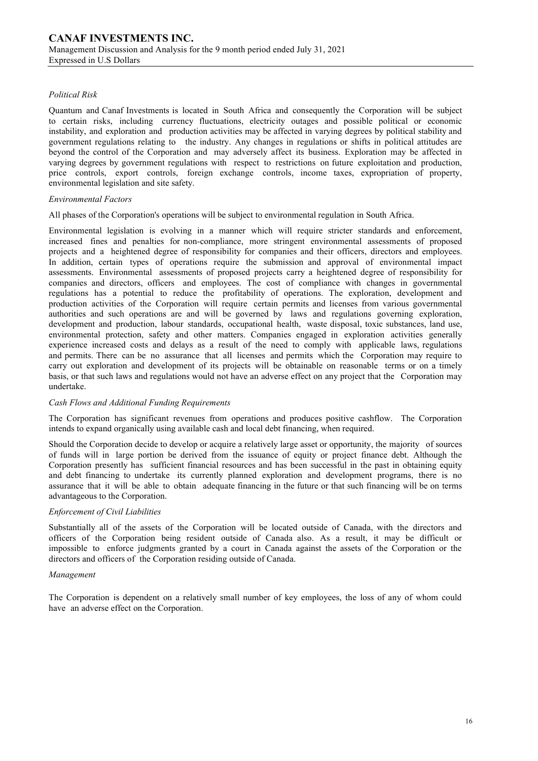### *Political Risk*

Quantum and Canaf Investments is located in South Africa and consequently the Corporation will be subject to certain risks, including currency fluctuations, electricity outages and possible political or economic instability, and exploration and production activities may be affected in varying degrees by political stability and government regulations relating to the industry. Any changes in regulations or shifts in political attitudes are beyond the control of the Corporation and may adversely affect its business. Exploration may be affected in varying degrees by government regulations with respect to restrictions on future exploitation and production, price controls, export controls, foreign exchange controls, income taxes, expropriation of property, environmental legislation and site safety.

### *Environmental Factors*

All phases of the Corporation's operations will be subject to environmental regulation in South Africa.

Environmental legislation is evolving in a manner which will require stricter standards and enforcement, increased fines and penalties for non-compliance, more stringent environmental assessments of proposed projects and a heightened degree of responsibility for companies and their officers, directors and employees. In addition, certain types of operations require the submission and approval of environmental impact assessments. Environmental assessments of proposed projects carry a heightened degree of responsibility for companies and directors, officers and employees. The cost of compliance with changes in governmental regulations has a potential to reduce the profitability of operations. The exploration, development and production activities of the Corporation will require certain permits and licenses from various governmental authorities and such operations are and will be governed by laws and regulations governing exploration, development and production, labour standards, occupational health, waste disposal, toxic substances, land use, environmental protection, safety and other matters. Companies engaged in exploration activities generally experience increased costs and delays as a result of the need to comply with applicable laws, regulations and permits. There can be no assurance that all licenses and permits which the Corporation may require to carry out exploration and development of its projects will be obtainable on reasonable terms or on a timely basis, or that such laws and regulations would not have an adverse effect on any project that the Corporation may undertake.

### *Cash Flows and Additional Funding Requirements*

The Corporation has significant revenues from operations and produces positive cashflow. The Corporation intends to expand organically using available cash and local debt financing, when required.

Should the Corporation decide to develop or acquire a relatively large asset or opportunity, the majority of sources of funds will in large portion be derived from the issuance of equity or project finance debt. Although the Corporation presently has sufficient financial resources and has been successful in the past in obtaining equity and debt financing to undertake its currently planned exploration and development programs, there is no assurance that it will be able to obtain adequate financing in the future or that such financing will be on terms advantageous to the Corporation.

### *Enforcement of Civil Liabilities*

Substantially all of the assets of the Corporation will be located outside of Canada, with the directors and officers of the Corporation being resident outside of Canada also. As a result, it may be difficult or impossible to enforce judgments granted by a court in Canada against the assets of the Corporation or the directors and officers of the Corporation residing outside of Canada.

### *Management*

The Corporation is dependent on a relatively small number of key employees, the loss of any of whom could have an adverse effect on the Corporation.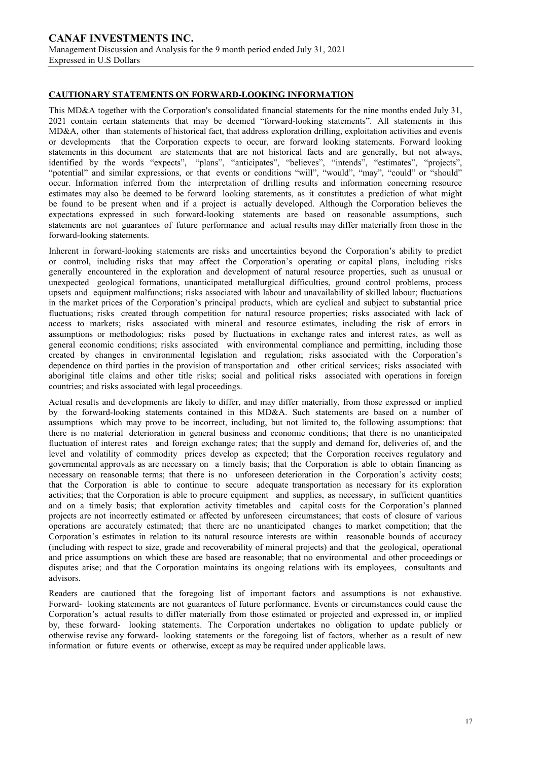### **CAUTIONARY STATEMENTS ON FORWARD-LOOKING INFORMATION**

This MD&A together with the Corporation's consolidated financial statements for the nine months ended July 31, 2021 contain certain statements that may be deemed "forward-looking statements". All statements in this MD&A, other than statements of historical fact, that address exploration drilling, exploitation activities and events or developments that the Corporation expects to occur, are forward looking statements. Forward looking statements in this document are statements that are not historical facts and are generally, but not always, identified by the words "expects", "plans", "anticipates", "believes", "intends", "estimates", "projects", "potential" and similar expressions, or that events or conditions "will", "would", "may", "could" or "should" occur. Information inferred from the interpretation of drilling results and information concerning resource estimates may also be deemed to be forward looking statements, as it constitutes a prediction of what might be found to be present when and if a project is actually developed. Although the Corporation believes the expectations expressed in such forward-looking statements are based on reasonable assumptions, such statements are not guarantees of future performance and actual results may differ materially from those in the forward-looking statements.

Inherent in forward-looking statements are risks and uncertainties beyond the Corporation's ability to predict or control, including risks that may affect the Corporation's operating or capital plans, including risks generally encountered in the exploration and development of natural resource properties, such as unusual or unexpected geological formations, unanticipated metallurgical difficulties, ground control problems, process upsets and equipment malfunctions; risks associated with labour and unavailability of skilled labour; fluctuations in the market prices of the Corporation's principal products, which are cyclical and subject to substantial price fluctuations; risks created through competition for natural resource properties; risks associated with lack of access to markets; risks associated with mineral and resource estimates, including the risk of errors in assumptions or methodologies; risks posed by fluctuations in exchange rates and interest rates, as well as general economic conditions; risks associated with environmental compliance and permitting, including those created by changes in environmental legislation and regulation; risks associated with the Corporation's dependence on third parties in the provision of transportation and other critical services; risks associated with aboriginal title claims and other title risks; social and political risks associated with operations in foreign countries; and risks associated with legal proceedings.

Actual results and developments are likely to differ, and may differ materially, from those expressed or implied by the forward-looking statements contained in this MD&A. Such statements are based on a number of assumptions which may prove to be incorrect, including, but not limited to, the following assumptions: that there is no material deterioration in general business and economic conditions; that there is no unanticipated fluctuation of interest rates and foreign exchange rates; that the supply and demand for, deliveries of, and the level and volatility of commodity prices develop as expected; that the Corporation receives regulatory and governmental approvals as are necessary on a timely basis; that the Corporation is able to obtain financing as necessary on reasonable terms; that there is no unforeseen deterioration in the Corporation's activity costs; that the Corporation is able to continue to secure adequate transportation as necessary for its exploration activities; that the Corporation is able to procure equipment and supplies, as necessary, in sufficient quantities and on a timely basis; that exploration activity timetables and capital costs for the Corporation's planned projects are not incorrectly estimated or affected by unforeseen circumstances; that costs of closure of various operations are accurately estimated; that there are no unanticipated changes to market competition; that the Corporation's estimates in relation to its natural resource interests are within reasonable bounds of accuracy (including with respect to size, grade and recoverability of mineral projects) and that the geological, operational and price assumptions on which these are based are reasonable; that no environmental and other proceedings or disputes arise; and that the Corporation maintains its ongoing relations with its employees, consultants and advisors.

Readers are cautioned that the foregoing list of important factors and assumptions is not exhaustive. Forward- looking statements are not guarantees of future performance. Events or circumstances could cause the Corporation's actual results to differ materially from those estimated or projected and expressed in, or implied by, these forward- looking statements. The Corporation undertakes no obligation to update publicly or otherwise revise any forward- looking statements or the foregoing list of factors, whether as a result of new information or future events or otherwise, except as may be required under applicable laws.